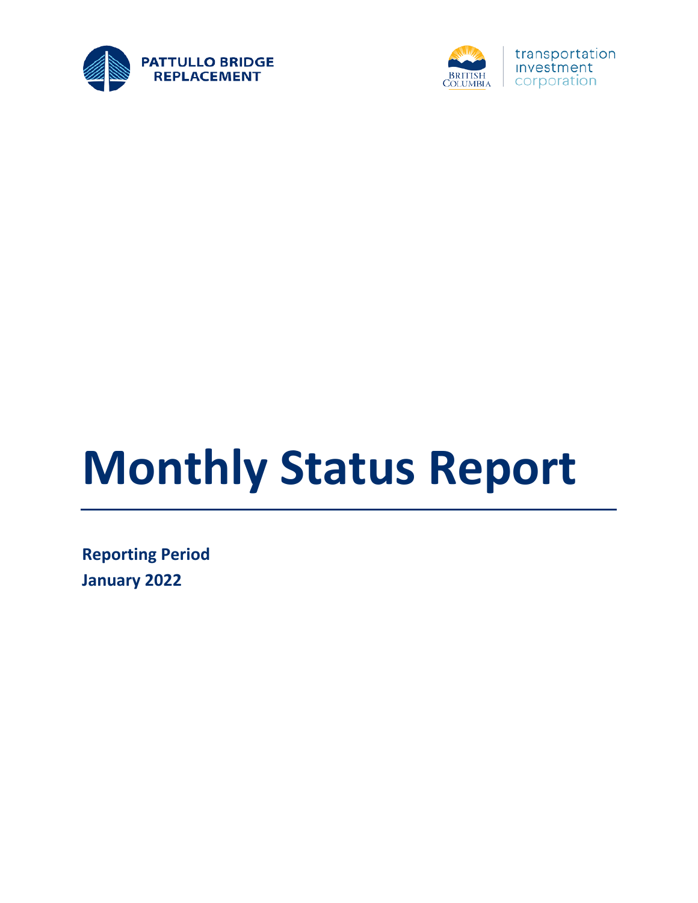



# **Monthly Status Report**

**Reporting Period January 2022**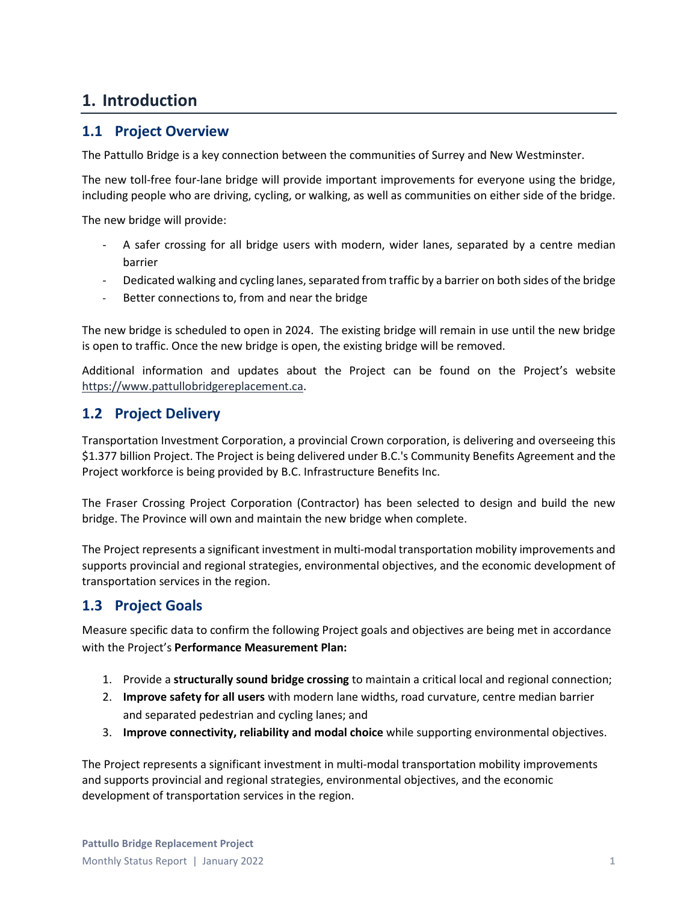## **1. Introduction**

#### **1.1 Project Overview**

The Pattullo Bridge is a key connection between the communities of Surrey and New Westminster.

The new toll-free four-lane bridge will provide important improvements for everyone using the bridge, including people who are driving, cycling, or walking, as well as communities on either side of the bridge.

The new bridge will provide:

- A safer crossing for all bridge users with modern, wider lanes, separated by a centre median barrier
- Dedicated walking and cycling lanes, separated from traffic by a barrier on both sides of the bridge
- Better connections to, from and near the bridge

The new bridge is scheduled to open in 2024. The existing bridge will remain in use until the new bridge is open to traffic. Once the new bridge is open, the existing bridge will be removed.

Additional information and updates about the Project can be found on the Project's website [https://www.pattullobridgereplacement.ca.](https://www.pattullobridgereplacement.ca/)

#### **1.2 Project Delivery**

Transportation Investment Corporation, a provincial Crown corporation, is delivering and overseeing this \$1.377 billion Project. The Project is being delivered under B.C.'s Community Benefits Agreement and the Project workforce is being provided by B.C. Infrastructure Benefits Inc.

The Fraser Crossing Project Corporation (Contractor) has been selected to design and build the new bridge. The Province will own and maintain the new bridge when complete.

The Project represents a significant investment in multi-modal transportation mobility improvements and supports provincial and regional strategies, environmental objectives, and the economic development of transportation services in the region.

#### **1.3 Project Goals**

Measure specific data to confirm the following Project goals and objectives are being met in accordance with the Project's **Performance Measurement Plan:**

- 1. Provide a **structurally sound bridge crossing** to maintain a critical local and regional connection;
- 2. **Improve safety for all users** with modern lane widths, road curvature, centre median barrier and separated pedestrian and cycling lanes; and
- 3. **Improve connectivity, reliability and modal choice** while supporting environmental objectives.

The Project represents a significant investment in multi-modal transportation mobility improvements and supports provincial and regional strategies, environmental objectives, and the economic development of transportation services in the region.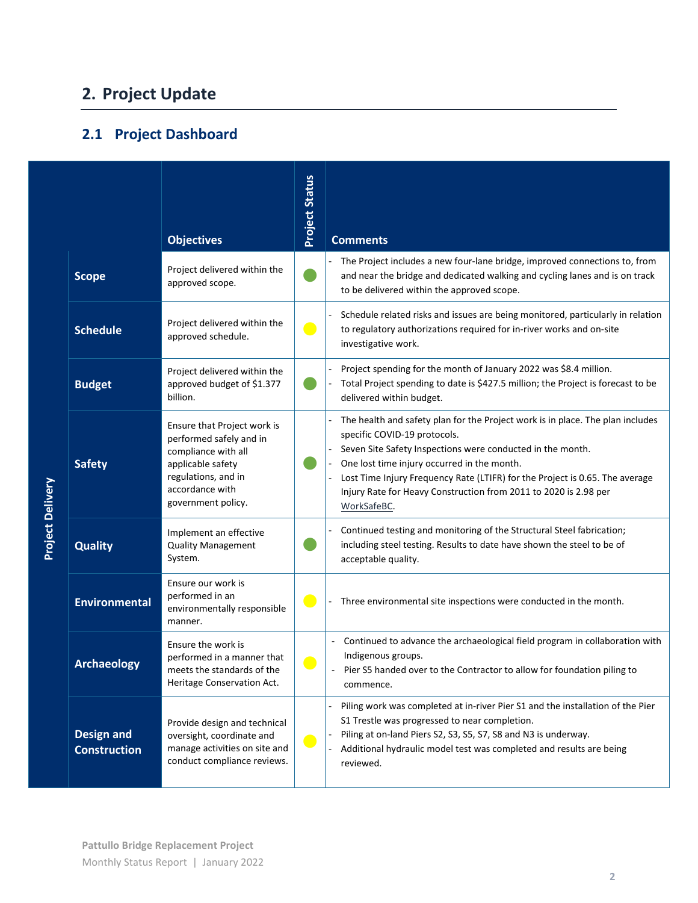# **2. Project Update**

## **2.1 Project Dashboard**

|                         |                                          | <b>Objectives</b>                                                                                                                                                  | <b>Project Status</b> | <b>Comments</b>                                                                                                                                                                                                                                                                                                                                                                                |
|-------------------------|------------------------------------------|--------------------------------------------------------------------------------------------------------------------------------------------------------------------|-----------------------|------------------------------------------------------------------------------------------------------------------------------------------------------------------------------------------------------------------------------------------------------------------------------------------------------------------------------------------------------------------------------------------------|
|                         | <b>Scope</b>                             | Project delivered within the<br>approved scope.                                                                                                                    |                       | The Project includes a new four-lane bridge, improved connections to, from<br>and near the bridge and dedicated walking and cycling lanes and is on track<br>to be delivered within the approved scope.                                                                                                                                                                                        |
|                         | <b>Schedule</b>                          | Project delivered within the<br>approved schedule.                                                                                                                 | $\bullet$             | Schedule related risks and issues are being monitored, particularly in relation<br>to regulatory authorizations required for in-river works and on-site<br>investigative work.                                                                                                                                                                                                                 |
|                         | <b>Budget</b>                            | Project delivered within the<br>approved budget of \$1.377<br>billion.                                                                                             |                       | Project spending for the month of January 2022 was \$8.4 million.<br>Total Project spending to date is \$427.5 million; the Project is forecast to be<br>delivered within budget.                                                                                                                                                                                                              |
|                         | <b>Safety</b>                            | Ensure that Project work is<br>performed safely and in<br>compliance with all<br>applicable safety<br>regulations, and in<br>accordance with<br>government policy. |                       | The health and safety plan for the Project work is in place. The plan includes<br>specific COVID-19 protocols.<br>Seven Site Safety Inspections were conducted in the month.<br>One lost time injury occurred in the month.<br>Lost Time Injury Frequency Rate (LTIFR) for the Project is 0.65. The average<br>Injury Rate for Heavy Construction from 2011 to 2020 is 2.98 per<br>WorkSafeBC. |
| <b>Project Delivery</b> | <b>Quality</b>                           | Implement an effective<br><b>Quality Management</b><br>System.                                                                                                     |                       | Continued testing and monitoring of the Structural Steel fabrication;<br>including steel testing. Results to date have shown the steel to be of<br>acceptable quality.                                                                                                                                                                                                                         |
|                         | <b>Environmental</b>                     | Ensure our work is<br>performed in an<br>environmentally responsible<br>manner.                                                                                    | $\bullet$             | Three environmental site inspections were conducted in the month.                                                                                                                                                                                                                                                                                                                              |
|                         | <b>Archaeology</b>                       | Ensure the work is<br>performed in a manner that<br>meets the standards of the<br>Heritage Conservation Act.                                                       |                       | Continued to advance the archaeological field program in collaboration with<br>Indigenous groups.<br>Pier S5 handed over to the Contractor to allow for foundation piling to<br>commence.                                                                                                                                                                                                      |
|                         | <b>Design and</b><br><b>Construction</b> | Provide design and technical<br>oversight, coordinate and<br>manage activities on site and<br>conduct compliance reviews.                                          | $\bullet$             | Piling work was completed at in-river Pier S1 and the installation of the Pier<br>S1 Trestle was progressed to near completion.<br>Piling at on-land Piers S2, S3, S5, S7, S8 and N3 is underway.<br>Additional hydraulic model test was completed and results are being<br>reviewed.                                                                                                          |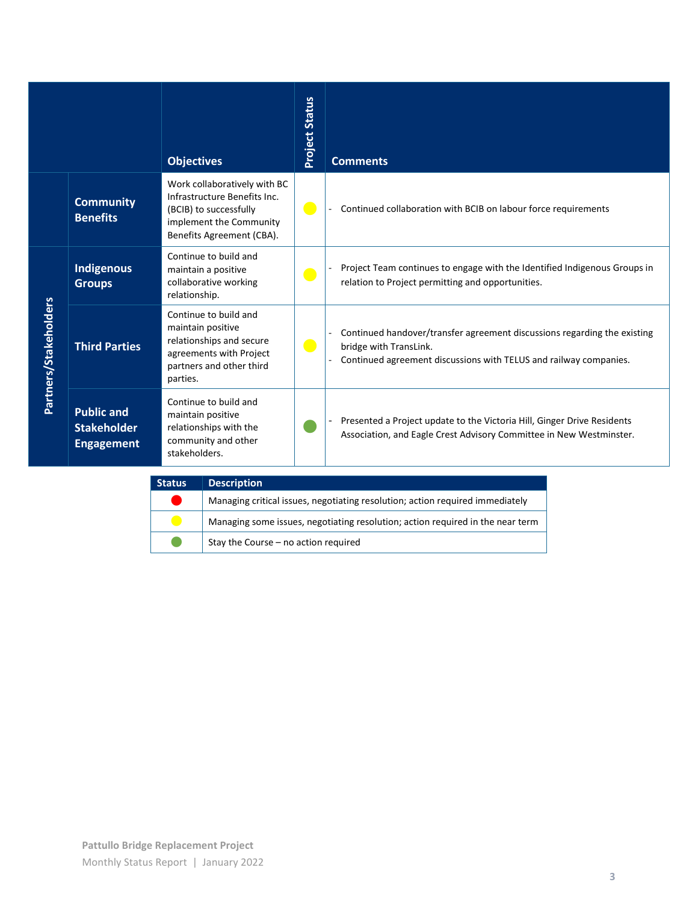|                       |                                                              | <b>Objectives</b>                                                                                                                              | <b>Project Status</b> | <b>Comments</b>                                                                                                                                                         |
|-----------------------|--------------------------------------------------------------|------------------------------------------------------------------------------------------------------------------------------------------------|-----------------------|-------------------------------------------------------------------------------------------------------------------------------------------------------------------------|
|                       | <b>Community</b><br><b>Benefits</b>                          | Work collaboratively with BC<br>Infrastructure Benefits Inc.<br>(BCIB) to successfully<br>implement the Community<br>Benefits Agreement (CBA). | $\bullet$             | Continued collaboration with BCIB on labour force requirements                                                                                                          |
|                       | <b>Indigenous</b><br><b>Groups</b>                           | Continue to build and<br>maintain a positive<br>collaborative working<br>relationship.                                                         | $\bullet$             | Project Team continues to engage with the Identified Indigenous Groups in<br>relation to Project permitting and opportunities.                                          |
| Partners/Stakeholders | <b>Third Parties</b>                                         | Continue to build and<br>maintain positive<br>relationships and secure<br>agreements with Project<br>partners and other third<br>parties.      | $\bullet$             | Continued handover/transfer agreement discussions regarding the existing<br>bridge with TransLink.<br>Continued agreement discussions with TELUS and railway companies. |
|                       | <b>Public and</b><br><b>Stakeholder</b><br><b>Engagement</b> | Continue to build and<br>maintain positive<br>relationships with the<br>community and other<br>stakeholders.                                   |                       | Presented a Project update to the Victoria Hill, Ginger Drive Residents<br>Association, and Eagle Crest Advisory Committee in New Westminster.                          |

| <b>Status</b> | <b>Description</b>                                                             |
|---------------|--------------------------------------------------------------------------------|
|               | Managing critical issues, negotiating resolution; action required immediately  |
|               | Managing some issues, negotiating resolution; action required in the near term |
|               | Stay the Course - no action required                                           |

L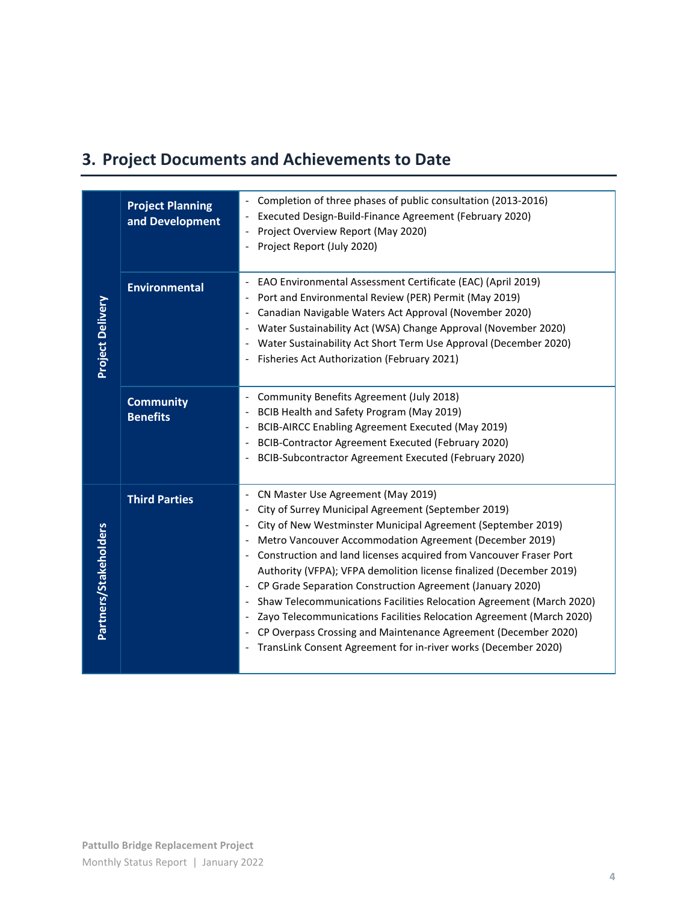# **3. Project Documents and Achievements to Date**

| <b>Project Planning</b><br>and Development | Completion of three phases of public consultation (2013-2016)<br>Executed Design-Build-Finance Agreement (February 2020)<br>Project Overview Report (May 2020)<br>Project Report (July 2020)                                                                                                                                                                                                                                                                                                                                                                                                                                                                                                                                                                               |
|--------------------------------------------|----------------------------------------------------------------------------------------------------------------------------------------------------------------------------------------------------------------------------------------------------------------------------------------------------------------------------------------------------------------------------------------------------------------------------------------------------------------------------------------------------------------------------------------------------------------------------------------------------------------------------------------------------------------------------------------------------------------------------------------------------------------------------|
| <b>Environmental</b>                       | EAO Environmental Assessment Certificate (EAC) (April 2019)<br>Port and Environmental Review (PER) Permit (May 2019)<br>Canadian Navigable Waters Act Approval (November 2020)<br>Water Sustainability Act (WSA) Change Approval (November 2020)<br>Water Sustainability Act Short Term Use Approval (December 2020)<br>Fisheries Act Authorization (February 2021)                                                                                                                                                                                                                                                                                                                                                                                                        |
| <b>Community</b><br><b>Benefits</b>        | Community Benefits Agreement (July 2018)<br>$\overline{\phantom{a}}$<br>BCIB Health and Safety Program (May 2019)<br>$\overline{\phantom{a}}$<br>BCIB-AIRCC Enabling Agreement Executed (May 2019)<br>$\overline{\phantom{a}}$<br>BCIB-Contractor Agreement Executed (February 2020)<br>BCIB-Subcontractor Agreement Executed (February 2020)<br>$\overline{\phantom{a}}$                                                                                                                                                                                                                                                                                                                                                                                                  |
| <b>Third Parties</b>                       | CN Master Use Agreement (May 2019)<br>City of Surrey Municipal Agreement (September 2019)<br>City of New Westminster Municipal Agreement (September 2019)<br>$\overline{\phantom{a}}$<br>Metro Vancouver Accommodation Agreement (December 2019)<br>Construction and land licenses acquired from Vancouver Fraser Port<br>Authority (VFPA); VFPA demolition license finalized (December 2019)<br>CP Grade Separation Construction Agreement (January 2020)<br>Shaw Telecommunications Facilities Relocation Agreement (March 2020)<br>$\overline{\phantom{a}}$<br>Zayo Telecommunications Facilities Relocation Agreement (March 2020)<br>CP Overpass Crossing and Maintenance Agreement (December 2020)<br>TransLink Consent Agreement for in-river works (December 2020) |
|                                            |                                                                                                                                                                                                                                                                                                                                                                                                                                                                                                                                                                                                                                                                                                                                                                            |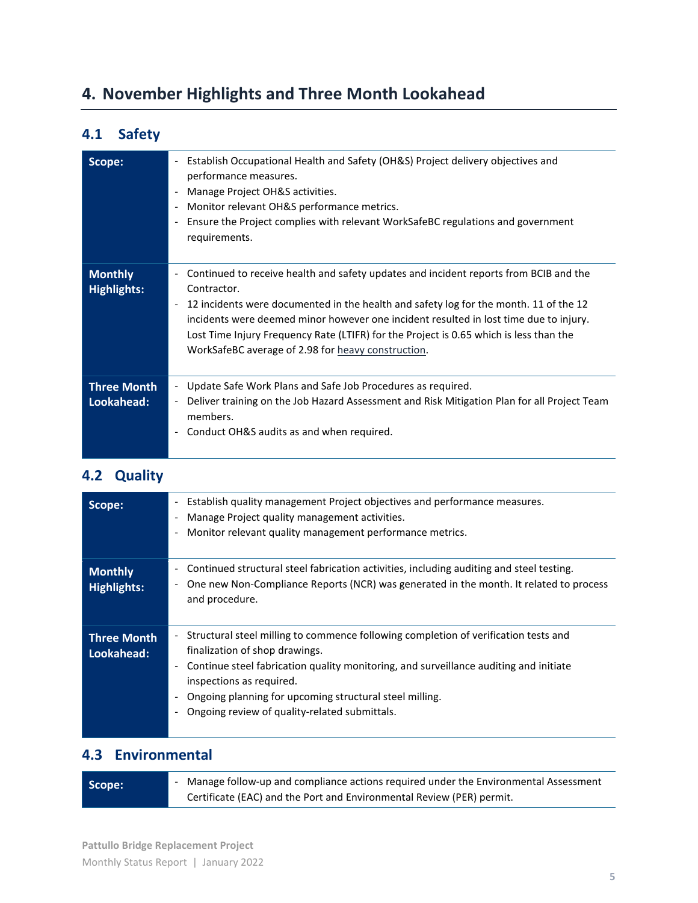# **4. November Highlights and Three Month Lookahead**

## **4.1 Safety**

| Scope:                               | Establish Occupational Health and Safety (OH&S) Project delivery objectives and<br>$\overline{\phantom{a}}$<br>performance measures.<br>Manage Project OH&S activities.<br>Monitor relevant OH&S performance metrics.<br>$\overline{\phantom{a}}$<br>Ensure the Project complies with relevant WorkSafeBC regulations and government<br>$\overline{\phantom{a}}$<br>requirements.                                                                                                              |
|--------------------------------------|------------------------------------------------------------------------------------------------------------------------------------------------------------------------------------------------------------------------------------------------------------------------------------------------------------------------------------------------------------------------------------------------------------------------------------------------------------------------------------------------|
| <b>Monthly</b><br><b>Highlights:</b> | Continued to receive health and safety updates and incident reports from BCIB and the<br>$\overline{\phantom{0}}$<br>Contractor.<br>12 incidents were documented in the health and safety log for the month. 11 of the 12<br>$\overline{\phantom{a}}$<br>incidents were deemed minor however one incident resulted in lost time due to injury.<br>Lost Time Injury Frequency Rate (LTIFR) for the Project is 0.65 which is less than the<br>WorkSafeBC average of 2.98 for heavy construction. |
| <b>Three Month</b><br>Lookahead:     | Update Safe Work Plans and Safe Job Procedures as required.<br>$\sim$<br>Deliver training on the Job Hazard Assessment and Risk Mitigation Plan for all Project Team<br>$\overline{\phantom{a}}$<br>members.<br>Conduct OH&S audits as and when required.                                                                                                                                                                                                                                      |

#### **4.2 Quality**

| Scope:                        | Establish quality management Project objectives and performance measures.<br>$\overline{\phantom{a}}$<br>Manage Project quality management activities.<br>Monitor relevant quality management performance metrics.                                                                                                                                                                 |
|-------------------------------|------------------------------------------------------------------------------------------------------------------------------------------------------------------------------------------------------------------------------------------------------------------------------------------------------------------------------------------------------------------------------------|
| <b>Monthly</b><br>Highlights: | Continued structural steel fabrication activities, including auditing and steel testing.<br>One new Non-Compliance Reports (NCR) was generated in the month. It related to process<br>-<br>and procedure.                                                                                                                                                                          |
| Three Month<br>Lookahead:     | Structural steel milling to commence following completion of verification tests and<br>finalization of shop drawings.<br>Continue steel fabrication quality monitoring, and surveillance auditing and initiate<br>$\overline{\phantom{a}}$<br>inspections as required.<br>Ongoing planning for upcoming structural steel milling.<br>Ongoing review of quality-related submittals. |

## **4.3 Environmental**

| Scope: | Manage follow-up and compliance actions required under the Environmental Assessment |
|--------|-------------------------------------------------------------------------------------|
|        | Certificate (EAC) and the Port and Environmental Review (PER) permit.               |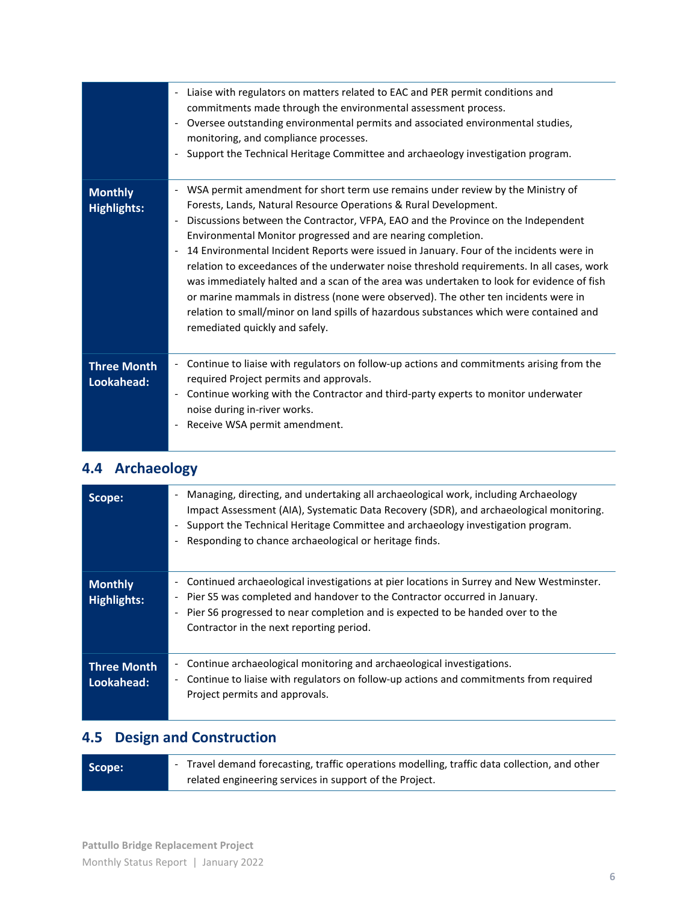|                                      | Liaise with regulators on matters related to EAC and PER permit conditions and<br>$\overline{\phantom{a}}$<br>commitments made through the environmental assessment process.<br>Oversee outstanding environmental permits and associated environmental studies,<br>monitoring, and compliance processes.<br>Support the Technical Heritage Committee and archaeology investigation program.                                                                                                                                                                                                                                                                                                                                                                                                                        |
|--------------------------------------|--------------------------------------------------------------------------------------------------------------------------------------------------------------------------------------------------------------------------------------------------------------------------------------------------------------------------------------------------------------------------------------------------------------------------------------------------------------------------------------------------------------------------------------------------------------------------------------------------------------------------------------------------------------------------------------------------------------------------------------------------------------------------------------------------------------------|
| <b>Monthly</b><br><b>Highlights:</b> | WSA permit amendment for short term use remains under review by the Ministry of<br>Forests, Lands, Natural Resource Operations & Rural Development.<br>Discussions between the Contractor, VFPA, EAO and the Province on the Independent<br>Environmental Monitor progressed and are nearing completion.<br>14 Environmental Incident Reports were issued in January. Four of the incidents were in<br>relation to exceedances of the underwater noise threshold requirements. In all cases, work<br>was immediately halted and a scan of the area was undertaken to look for evidence of fish<br>or marine mammals in distress (none were observed). The other ten incidents were in<br>relation to small/minor on land spills of hazardous substances which were contained and<br>remediated quickly and safely. |
| <b>Three Month</b><br>Lookahead:     | Continue to liaise with regulators on follow-up actions and commitments arising from the<br>required Project permits and approvals.<br>Continue working with the Contractor and third-party experts to monitor underwater<br>noise during in-river works.<br>Receive WSA permit amendment.                                                                                                                                                                                                                                                                                                                                                                                                                                                                                                                         |

# **4.4 Archaeology**

| Scope:                               | Managing, directing, and undertaking all archaeological work, including Archaeology<br>$\overline{\phantom{a}}$<br>Impact Assessment (AIA), Systematic Data Recovery (SDR), and archaeological monitoring.<br>Support the Technical Heritage Committee and archaeology investigation program.<br>Responding to chance archaeological or heritage finds. |
|--------------------------------------|---------------------------------------------------------------------------------------------------------------------------------------------------------------------------------------------------------------------------------------------------------------------------------------------------------------------------------------------------------|
| <b>Monthly</b><br><b>Highlights:</b> | Continued archaeological investigations at pier locations in Surrey and New Westminster.<br>$\overline{\phantom{a}}$<br>Pier S5 was completed and handover to the Contractor occurred in January.<br>-<br>Pier S6 progressed to near completion and is expected to be handed over to the<br>Contractor in the next reporting period.                    |
| <b>Three Month</b><br>Lookahead:     | Continue archaeological monitoring and archaeological investigations.<br>$\overline{\phantom{a}}$<br>Continue to liaise with regulators on follow-up actions and commitments from required<br>$\overline{\phantom{a}}$<br>Project permits and approvals.                                                                                                |

# **4.5 Design and Construction**

| Scope: | - Travel demand forecasting, traffic operations modelling, traffic data collection, and other |
|--------|-----------------------------------------------------------------------------------------------|
|        | related engineering services in support of the Project.                                       |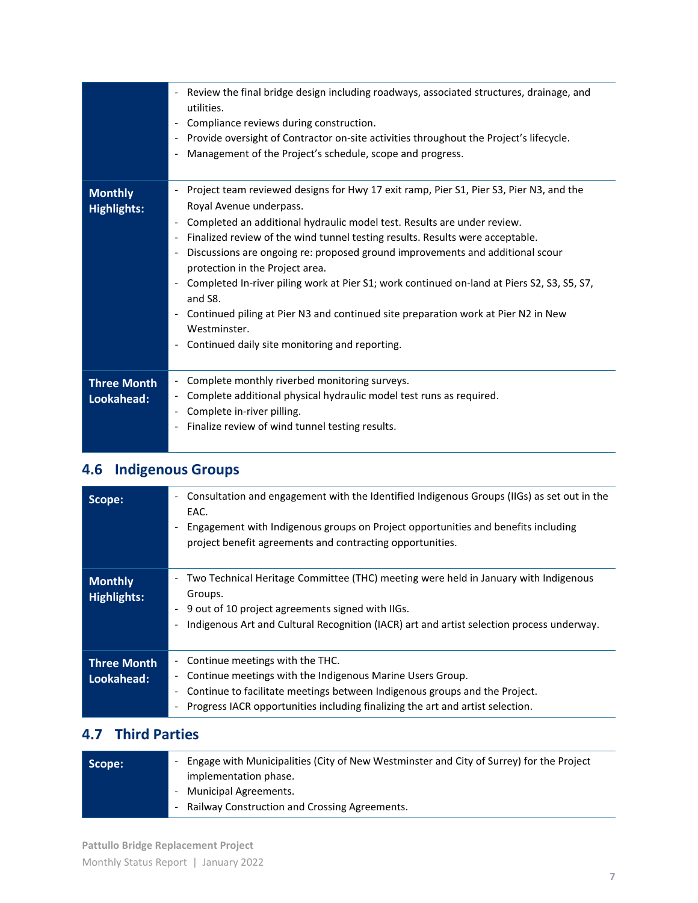|                                      | Review the final bridge design including roadways, associated structures, drainage, and<br>$\overline{\phantom{a}}$<br>utilities.<br>Compliance reviews during construction.<br>Provide oversight of Contractor on-site activities throughout the Project's lifecycle.<br>Management of the Project's schedule, scope and progress.                                                                                                                                                                                                                                                                                                                                                                                       |
|--------------------------------------|---------------------------------------------------------------------------------------------------------------------------------------------------------------------------------------------------------------------------------------------------------------------------------------------------------------------------------------------------------------------------------------------------------------------------------------------------------------------------------------------------------------------------------------------------------------------------------------------------------------------------------------------------------------------------------------------------------------------------|
| <b>Monthly</b><br><b>Highlights:</b> | Project team reviewed designs for Hwy 17 exit ramp, Pier S1, Pier S3, Pier N3, and the<br>$\overline{\phantom{a}}$<br>Royal Avenue underpass.<br>Completed an additional hydraulic model test. Results are under review.<br>Finalized review of the wind tunnel testing results. Results were acceptable.<br>Discussions are ongoing re: proposed ground improvements and additional scour<br>protection in the Project area.<br>Completed In-river piling work at Pier S1; work continued on-land at Piers S2, S3, S5, S7,<br>and S8.<br>Continued piling at Pier N3 and continued site preparation work at Pier N2 in New<br>Westminster.<br>Continued daily site monitoring and reporting.<br>$\overline{\phantom{a}}$ |
| <b>Three Month</b><br>Lookahead:     | Complete monthly riverbed monitoring surveys.<br>Complete additional physical hydraulic model test runs as required.<br>$\overline{\phantom{a}}$<br>Complete in-river pilling.<br>Finalize review of wind tunnel testing results.                                                                                                                                                                                                                                                                                                                                                                                                                                                                                         |

# **4.6 Indigenous Groups**

| Scope:                               | Consultation and engagement with the Identified Indigenous Groups (IIGs) as set out in the<br>$\overline{\phantom{a}}$<br>EAC.<br>Engagement with Indigenous groups on Project opportunities and benefits including<br>project benefit agreements and contracting opportunities. |
|--------------------------------------|----------------------------------------------------------------------------------------------------------------------------------------------------------------------------------------------------------------------------------------------------------------------------------|
| <b>Monthly</b><br><b>Highlights:</b> | Two Technical Heritage Committee (THC) meeting were held in January with Indigenous<br>Groups.<br>9 out of 10 project agreements signed with IIGs.<br>۰<br>Indigenous Art and Cultural Recognition (IACR) art and artist selection process underway.                             |
| <b>Three Month</b><br>Lookahead:     | Continue meetings with the THC.<br>Continue meetings with the Indigenous Marine Users Group.<br>-<br>Continue to facilitate meetings between Indigenous groups and the Project.<br>Progress IACR opportunities including finalizing the art and artist selection.                |

## **4.7 Third Parties**

| Scope: | Engage with Municipalities (City of New Westminster and City of Surrey) for the Project<br>implementation phase. |
|--------|------------------------------------------------------------------------------------------------------------------|
|        | - Municipal Agreements.<br>- Railway Construction and Crossing Agreements.                                       |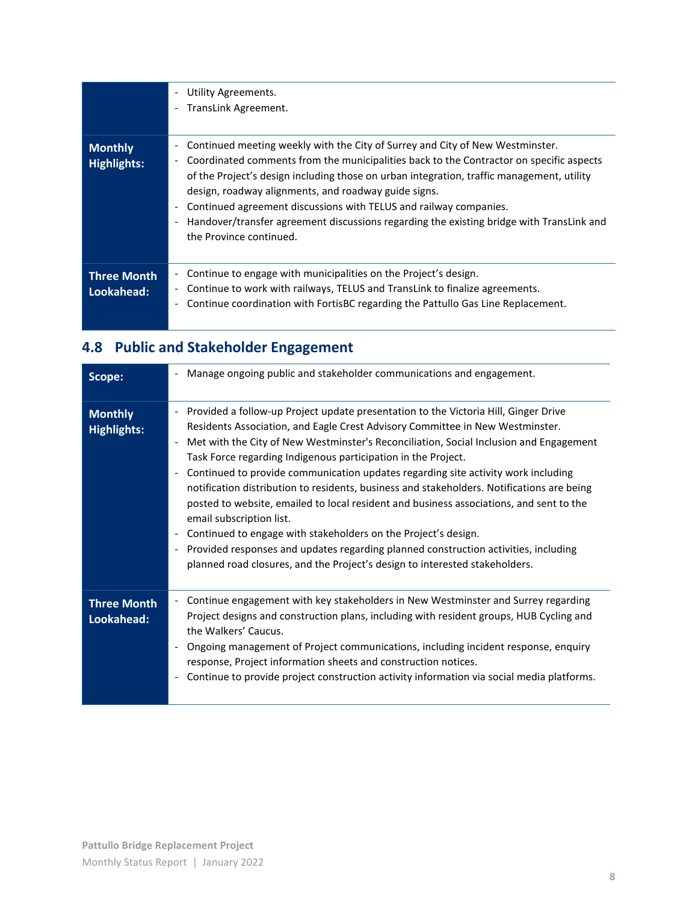|                                      | Utility Agreements.<br>$\overline{\phantom{a}}$<br>TransLink Agreement.<br>$\overline{\phantom{a}}$                                                                                                                                                                                                                                                                                                                                                                                                                                                                                                                                       |
|--------------------------------------|-------------------------------------------------------------------------------------------------------------------------------------------------------------------------------------------------------------------------------------------------------------------------------------------------------------------------------------------------------------------------------------------------------------------------------------------------------------------------------------------------------------------------------------------------------------------------------------------------------------------------------------------|
| <b>Monthly</b><br><b>Highlights:</b> | Continued meeting weekly with the City of Surrey and City of New Westminster.<br>$\overline{\phantom{a}}$<br>Coordinated comments from the municipalities back to the Contractor on specific aspects<br>$\overline{\phantom{a}}$<br>of the Project's design including those on urban integration, traffic management, utility<br>design, roadway alignments, and roadway guide signs.<br>Continued agreement discussions with TELUS and railway companies.<br>$\overline{\phantom{a}}$<br>Handover/transfer agreement discussions regarding the existing bridge with TransLink and<br>$\overline{\phantom{a}}$<br>the Province continued. |
| <b>Three Month</b><br>Lookahead:     | Continue to engage with municipalities on the Project's design.<br>$\overline{\phantom{a}}$<br>Continue to work with railways, TELUS and TransLink to finalize agreements.<br>$\overline{\phantom{a}}$<br>Continue coordination with FortisBC regarding the Pattullo Gas Line Replacement.<br>$\overline{\phantom{a}}$                                                                                                                                                                                                                                                                                                                    |

# **4.8 Public and Stakeholder Engagement**

| Scope:                               | Manage ongoing public and stakeholder communications and engagement.<br>$\overline{\phantom{a}}$                                                                                                                                                                                                                                                                                                                                                                                                                                                                                                                                                                                                                                                                                                                                                                                                                                                                                                                              |
|--------------------------------------|-------------------------------------------------------------------------------------------------------------------------------------------------------------------------------------------------------------------------------------------------------------------------------------------------------------------------------------------------------------------------------------------------------------------------------------------------------------------------------------------------------------------------------------------------------------------------------------------------------------------------------------------------------------------------------------------------------------------------------------------------------------------------------------------------------------------------------------------------------------------------------------------------------------------------------------------------------------------------------------------------------------------------------|
| <b>Monthly</b><br><b>Highlights:</b> | Provided a follow-up Project update presentation to the Victoria Hill, Ginger Drive<br>$\overline{\phantom{a}}$<br>Residents Association, and Eagle Crest Advisory Committee in New Westminster.<br>Met with the City of New Westminster's Reconciliation, Social Inclusion and Engagement<br>$\overline{\phantom{a}}$<br>Task Force regarding Indigenous participation in the Project.<br>Continued to provide communication updates regarding site activity work including<br>$\overline{\phantom{a}}$<br>notification distribution to residents, business and stakeholders. Notifications are being<br>posted to website, emailed to local resident and business associations, and sent to the<br>email subscription list.<br>Continued to engage with stakeholders on the Project's design.<br>$\overline{\phantom{a}}$<br>Provided responses and updates regarding planned construction activities, including<br>$\overline{\phantom{a}}$<br>planned road closures, and the Project's design to interested stakeholders. |
| <b>Three Month</b><br>Lookahead:     | Continue engagement with key stakeholders in New Westminster and Surrey regarding<br>$\overline{\phantom{0}}$<br>Project designs and construction plans, including with resident groups, HUB Cycling and<br>the Walkers' Caucus.<br>Ongoing management of Project communications, including incident response, enquiry<br>response, Project information sheets and construction notices.<br>Continue to provide project construction activity information via social media platforms.                                                                                                                                                                                                                                                                                                                                                                                                                                                                                                                                         |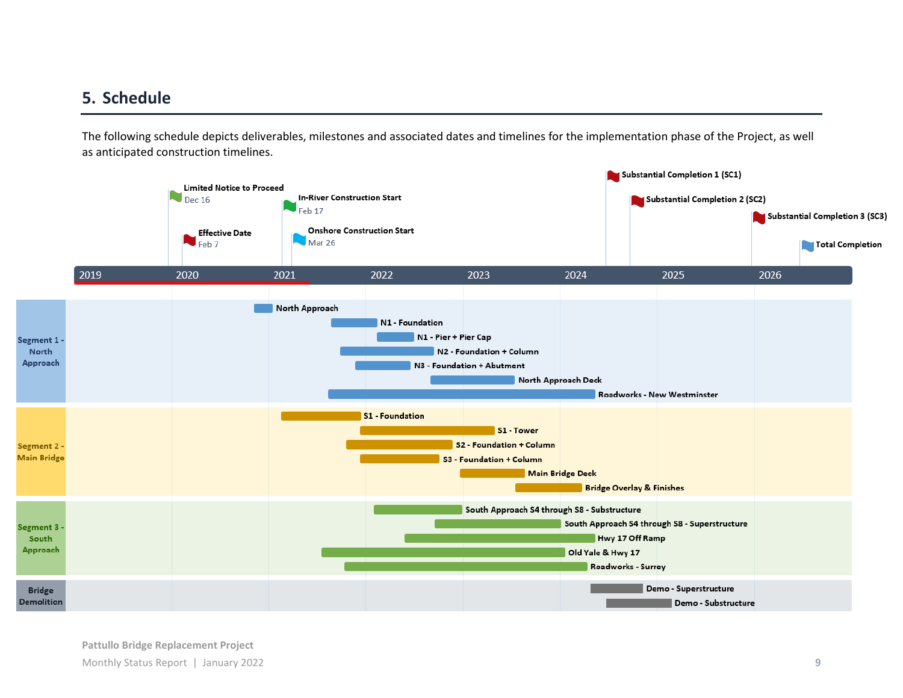## **5. Schedule**

The following schedule depicts deliverables, milestones and associated dates and timelines for the implementation phase of the Project, as well as anticipated construction timelines.

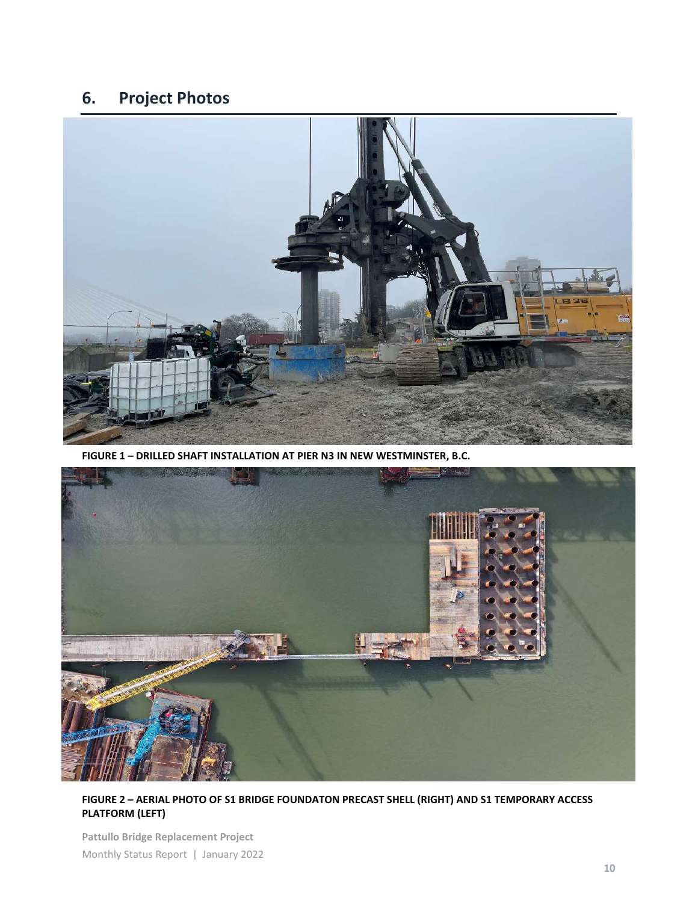## **6. Project Photos**



**FIGURE 1 – DRILLED SHAFT INSTALLATION AT PIER N3 IN NEW WESTMINSTER, B.C.**



**FIGURE 2 – AERIAL PHOTO OF S1 BRIDGE FOUNDATON PRECAST SHELL (RIGHT) AND S1 TEMPORARY ACCESS PLATFORM (LEFT)**

**Pattullo Bridge Replacement Project** Monthly Status Report | January 2022